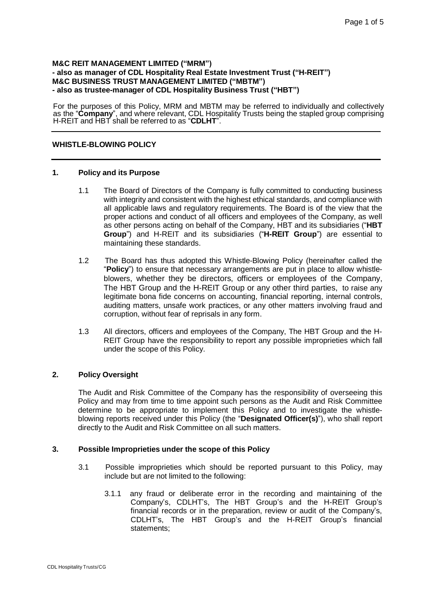#### **M&C REIT MANAGEMENT LIMITED ("MRM") - also as manager of CDL Hospitality Real Estate Investment Trust ("H-REIT") M&C BUSINESS TRUST MANAGEMENT LIMITED ("MBTM") - also as trustee-manager of CDL Hospitality Business Trust ("HBT")**

For the purposes of this Policy, MRM and MBTM may be referred to individually and collectively as the "**Company**", and where relevant, CDL Hospitality Trusts being the stapled group comprising H-REIT and HBT shall be referred to as "**CDLHT**".

# **WHISTLE-BLOWING POLICY**

### **1. Policy and its Purpose**

- 1.1 The Board of Directors of the Company is fully committed to conducting business with integrity and consistent with the highest ethical standards, and compliance with all applicable laws and regulatory requirements. The Board is of the view that the proper actions and conduct of all officers and employees of the Company, as well as other persons acting on behalf of the Company, HBT and its subsidiaries ("**HBT Group**") and H-REIT and its subsidiaries ("**H-REIT Group**") are essential to maintaining these standards.
- 1.2 The Board has thus adopted this Whistle-Blowing Policy (hereinafter called the "**Policy**") to ensure that necessary arrangements are put in place to allow whistleblowers, whether they be directors, officers or employees of the Company, The HBT Group and the H-REIT Group or any other third parties, to raise any legitimate bona fide concerns on accounting, financial reporting, internal controls, auditing matters, unsafe work practices, or any other matters involving fraud and corruption, without fear of reprisals in any form.
- 1.3 All directors, officers and employees of the Company, The HBT Group and the H-REIT Group have the responsibility to report any possible improprieties which fall under the scope of this Policy.

### **2. Policy Oversight**

The Audit and Risk Committee of the Company has the responsibility of overseeing this Policy and may from time to time appoint such persons as the Audit and Risk Committee determine to be appropriate to implement this Policy and to investigate the whistleblowing reports received under this Policy (the "**Designated Officer(s)**"), who shall report directly to the Audit and Risk Committee on all such matters.

### **3. Possible Improprieties under the scope of this Policy**

- 3.1 Possible improprieties which should be reported pursuant to this Policy, may include but are not limited to the following:
	- 3.1.1 any fraud or deliberate error in the recording and maintaining of the Company's, CDLHT's, The HBT Group's and the H-REIT Group's financial records or in the preparation, review or audit of the Company's, CDLHT's, The HBT Group's and the H-REIT Group's financial statements;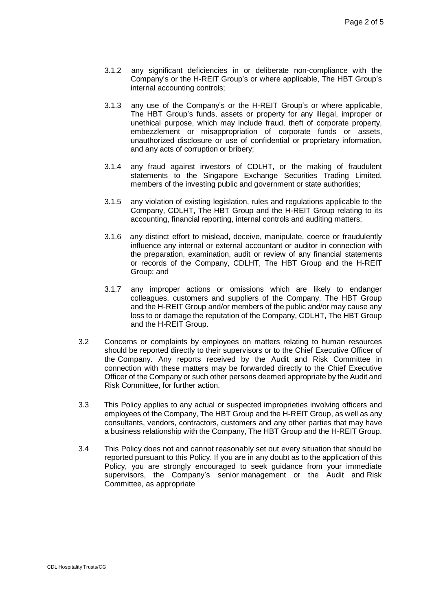- 3.1.2 any significant deficiencies in or deliberate non-compliance with the Company's or the H-REIT Group's or where applicable, The HBT Group's internal accounting controls;
- 3.1.3 any use of the Company's or the H-REIT Group's or where applicable, The HBT Group's funds, assets or property for any illegal, improper or unethical purpose, which may include fraud, theft of corporate property, embezzlement or misappropriation of corporate funds or assets, unauthorized disclosure or use of confidential or proprietary information, and any acts of corruption or bribery;
- 3.1.4 any fraud against investors of CDLHT, or the making of fraudulent statements to the Singapore Exchange Securities Trading Limited, members of the investing public and government or state authorities;
- 3.1.5 any violation of existing legislation, rules and regulations applicable to the Company, CDLHT, The HBT Group and the H-REIT Group relating to its accounting, financial reporting, internal controls and auditing matters;
- 3.1.6 any distinct effort to mislead, deceive, manipulate, coerce or fraudulently influence any internal or external accountant or auditor in connection with the preparation, examination, audit or review of any financial statements or records of the Company, CDLHT, The HBT Group and the H-REIT Group; and
- 3.1.7 any improper actions or omissions which are likely to endanger colleagues, customers and suppliers of the Company, The HBT Group and the H-REIT Group and/or members of the public and/or may cause any loss to or damage the reputation of the Company, CDLHT, The HBT Group and the H-REIT Group.
- 3.2 Concerns or complaints by employees on matters relating to human resources should be reported directly to their supervisors or to the Chief Executive Officer of the Company. Any reports received by the Audit and Risk Committee in connection with these matters may be forwarded directly to the Chief Executive Officer of the Company or such other persons deemed appropriate by the Audit and Risk Committee, for further action.
- 3.3 This Policy applies to any actual or suspected improprieties involving officers and employees of the Company, The HBT Group and the H-REIT Group, as well as any consultants, vendors, contractors, customers and any other parties that may have a business relationship with the Company, The HBT Group and the H-REIT Group.
- 3.4 This Policy does not and cannot reasonably set out every situation that should be reported pursuant to this Policy. If you are in any doubt as to the application of this Policy, you are strongly encouraged to seek guidance from your immediate supervisors, the Company's senior management or the Audit and Risk Committee, as appropriate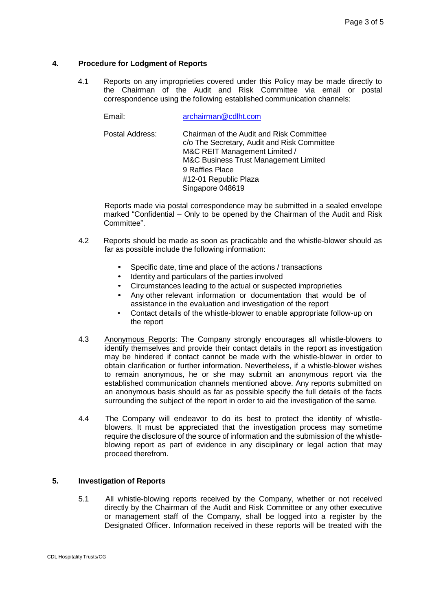### **4. Procedure for Lodgment of Reports**

4.1 Reports on any improprieties covered under this Policy may be made directly to the Chairman of the Audit and Risk Committee via email or postal correspondence using the following established communication channels:

Email: [archairman@cdlht.com](mailto:archairman@cdlht.com)

Postal Address: Chairman of the Audit and Risk Committee c/o The Secretary, Audit and Risk Committee M&C REIT Management Limited / M&C Business Trust Management Limited 9 Raffles Place #12-01 Republic Plaza Singapore 048619

Reports made via postal correspondence may be submitted in a sealed envelope marked "Confidential – Only to be opened by the Chairman of the Audit and Risk Committee".

- 4.2 Reports should be made as soon as practicable and the whistle-blower should as far as possible include the following information:
	- Specific date, time and place of the actions / transactions
	- Identity and particulars of the parties involved
	- Circumstances leading to the actual or suspected improprieties
	- Any other relevant information or documentation that would be of assistance in the evaluation and investigation of the report
	- Contact details of the whistle-blower to enable appropriate follow-up on the report
- 4.3 Anonymous Reports: The Company strongly encourages all whistle-blowers to identify themselves and provide their contact details in the report as investigation may be hindered if contact cannot be made with the whistle-blower in order to obtain clarification or further information. Nevertheless, if a whistle-blower wishes to remain anonymous, he or she may submit an anonymous report via the established communication channels mentioned above. Any reports submitted on an anonymous basis should as far as possible specify the full details of the facts surrounding the subject of the report in order to aid the investigation of the same.
- 4.4 The Company will endeavor to do its best to protect the identity of whistleblowers. It must be appreciated that the investigation process may sometime require the disclosure of the source of information and the submission of the whistleblowing report as part of evidence in any disciplinary or legal action that may proceed therefrom.

### **5. Investigation of Reports**

5.1 All whistle-blowing reports received by the Company, whether or not received directly by the Chairman of the Audit and Risk Committee or any other executive or management staff of the Company, shall be logged into a register by the Designated Officer. Information received in these reports will be treated with the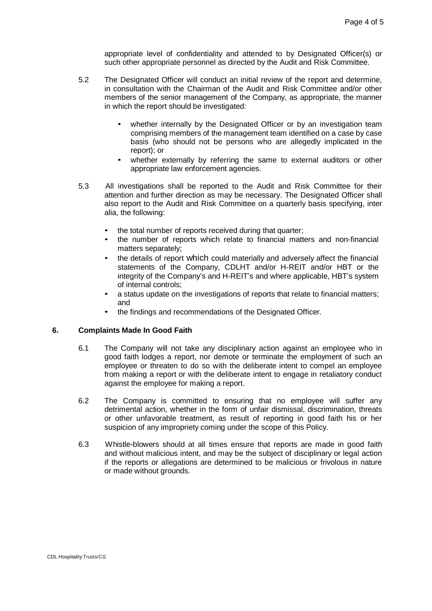appropriate level of confidentiality and attended to by Designated Officer(s) or such other appropriate personnel as directed by the Audit and Risk Committee.

- 5.2 The Designated Officer will conduct an initial review of the report and determine, in consultation with the Chairman of the Audit and Risk Committee and/or other members of the senior management of the Company, as appropriate, the manner in which the report should be investigated:
	- whether internally by the Designated Officer or by an investigation team comprising members of the management team identified on a case by case basis (who should not be persons who are allegedly implicated in the report); or
	- whether externally by referring the same to external auditors or other appropriate law enforcement agencies.
- 5.3 All investigations shall be reported to the Audit and Risk Committee for their attention and further direction as may be necessary. The Designated Officer shall also report to the Audit and Risk Committee on a quarterly basis specifying, inter alia, the following:
	- the total number of reports received during that quarter:
	- the number of reports which relate to financial matters and non-financial matters separately;
	- the details of report which could materially and adversely affect the financial statements of the Company, CDLHT and/or H-REIT and/or HBT or the integrity of the Company's and H-REIT's and where applicable, HBT's system of internal controls;
	- a status update on the investigations of reports that relate to financial matters; and
	- the findings and recommendations of the Designated Officer.

### **6. Complaints Made In Good Faith**

- 6.1 The Company will not take any disciplinary action against an employee who in good faith lodges a report, nor demote or terminate the employment of such an employee or threaten to do so with the deliberate intent to compel an employee from making a report or with the deliberate intent to engage in retaliatory conduct against the employee for making a report.
- 6.2 The Company is committed to ensuring that no employee will suffer any detrimental action, whether in the form of unfair dismissal, discrimination, threats or other unfavorable treatment, as result of reporting in good faith his or her suspicion of any impropriety coming under the scope of this Policy.
- 6.3 Whistle-blowers should at all times ensure that reports are made in good faith and without malicious intent, and may be the subject of disciplinary or legal action if the reports or allegations are determined to be malicious or frivolous in nature or made without grounds.